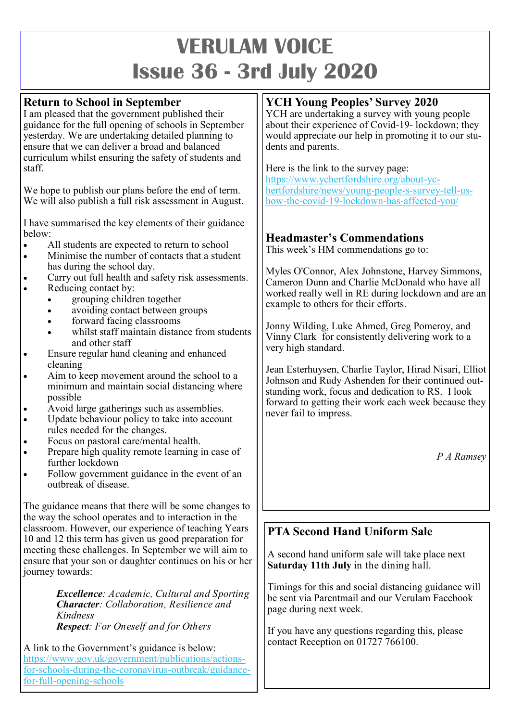# **VERULAM VOICE Issue 36 - 3rd July 2020**

## **Return to School in September**

I am pleased that the government published their guidance for the full opening of schools in September yesterday. We are undertaking detailed planning to ensure that we can deliver a broad and balanced curriculum whilst ensuring the safety of students and staff.

We hope to publish our plans before the end of term. We will also publish a full risk assessment in August.

I have summarised the key elements of their guidance below:

- All students are expected to return to school
- Minimise the number of contacts that a student has during the school day.
- Carry out full health and safety risk assessments.
- Reducing contact by:
	- grouping children together
	- avoiding contact between groups
	- forward facing classrooms
	- whilst staff maintain distance from students and other staff
- Ensure regular hand cleaning and enhanced cleaning
- Aim to keep movement around the school to a minimum and maintain social distancing where possible
- Avoid large gatherings such as assemblies.
- Update behaviour policy to take into account rules needed for the changes.
- Focus on pastoral care/mental health.
- Prepare high quality remote learning in case of further lockdown
- Follow government guidance in the event of an outbreak of disease.

The guidance means that there will be some changes to the way the school operates and to interaction in the classroom. However, our experience of teaching Years 10 and 12 this term has given us good preparation for meeting these challenges. In September we will aim to ensure that your son or daughter continues on his or her journey towards:

> *Excellence: Academic, Cultural and Sporting Character: Collaboration, Resilience and Kindness Respect: For Oneself and for Others*

A link to the Government's guidance is below: [https://www.gov.uk/government/publications/actions](https://www.gov.uk/government/publications/actions-for-schools-during-the-coronavirus-outbreak/guidance-for-full-opening-schools)for-schools-during-the-coronavirus-[outbreak/guidance](https://www.gov.uk/government/publications/actions-for-schools-during-the-coronavirus-outbreak/guidance-for-full-opening-schools)for-full-[opening](https://www.gov.uk/government/publications/actions-for-schools-during-the-coronavirus-outbreak/guidance-for-full-opening-schools)-schools

## **YCH Young Peoples' Survey 2020**

YCH are undertaking a survey with young people about their experience of Covid-19- lockdown; they would appreciate our help in promoting it to our students and parents.

Here is the link to the survey page:

[https://www.ychertfordshire.org/about](https://www.ychertfordshire.org/about-yc-hertfordshire/news/young-people-s-survey-tell-us-how-the-covid-19-lockdown-has-affected-you/)-yc[hertfordshire/news/young](https://www.ychertfordshire.org/about-yc-hertfordshire/news/young-people-s-survey-tell-us-how-the-covid-19-lockdown-has-affected-you/)-people-s-survey-tell-ushow-the-covid-19-[lockdown](https://www.ychertfordshire.org/about-yc-hertfordshire/news/young-people-s-survey-tell-us-how-the-covid-19-lockdown-has-affected-you/)-has-affected-you/

# **Headmaster's Commendations**

This week's HM commendations go to:

Myles O'Connor, Alex Johnstone, Harvey Simmons, Cameron Dunn and Charlie McDonald who have all worked really well in RE during lockdown and are an example to others for their efforts.

Jonny Wilding, Luke Ahmed, Greg Pomeroy, and Vinny Clark for consistently delivering work to a very high standard.

Jean Esterhuysen, Charlie Taylor, Hirad Nisari, Elliot Johnson and Rudy Ashenden for their continued outstanding work, focus and dedication to RS. I look forward to getting their work each week because they never fail to impress.

*P A Ramsey*

# **PTA Second Hand Uniform Sale**

A second hand uniform sale will take place next **Saturday 11th July** in the dining hall.

Timings for this and social distancing guidance will be sent via Parentmail and our Verulam Facebook page during next week.

If you have any questions regarding this, please contact Reception on 01727 766100.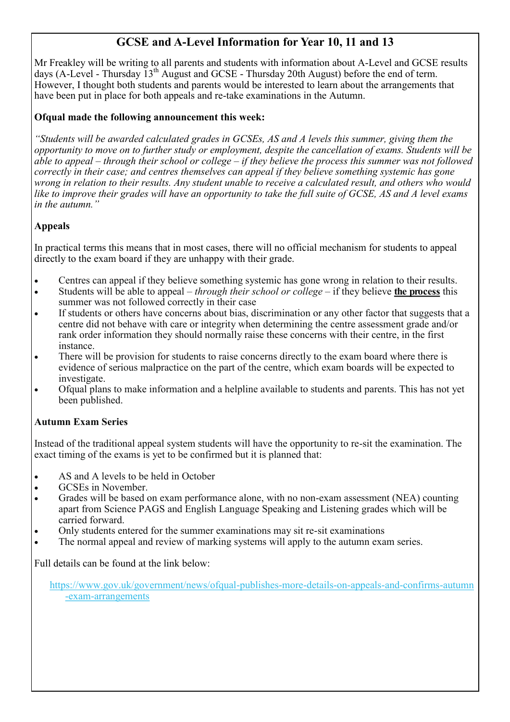## **GCSE and A-Level Information for Year 10, 11 and 13**

Mr Freakley will be writing to all parents and students with information about A-Level and GCSE results days (A-Level - Thursday 13th August and GCSE - Thursday 20th August) before the end of term. However, I thought both students and parents would be interested to learn about the arrangements that have been put in place for both appeals and re-take examinations in the Autumn.

#### **Ofqual made the following announcement this week:**

*"Students will be awarded calculated grades in GCSEs, AS and A levels this summer, giving them the opportunity to move on to further study or employment, despite the cancellation of exams. Students will be able to appeal – through their school or college – if they believe the process this summer was not followed correctly in their case; and centres themselves can appeal if they believe something systemic has gone wrong in relation to their results. Any student unable to receive a calculated result, and others who would like to improve their grades will have an opportunity to take the full suite of GCSE, AS and A level exams in the autumn."*

#### **Appeals**

In practical terms this means that in most cases, there will no official mechanism for students to appeal directly to the exam board if they are unhappy with their grade.

- Centres can appeal if they believe something systemic has gone wrong in relation to their results.
- Students will be able to appeal *through their school or college* if they believe **the process** this summer was not followed correctly in their case
- If students or others have concerns about bias, discrimination or any other factor that suggests that a centre did not behave with care or integrity when determining the centre assessment grade and/or rank order information they should normally raise these concerns with their centre, in the first instance.
- There will be provision for students to raise concerns directly to the exam board where there is evidence of serious malpractice on the part of the centre, which exam boards will be expected to investigate.
- Ofqual plans to make information and a helpline available to students and parents. This has not yet been published.

#### **Autumn Exam Series**

Instead of the traditional appeal system students will have the opportunity to re-sit the examination. The exact timing of the exams is yet to be confirmed but it is planned that:

- AS and A levels to be held in October
- GCSEs in November.
- Grades will be based on exam performance alone, with no non-exam assessment (NEA) counting apart from Science PAGS and English Language Speaking and Listening grades which will be carried forward.
- Only students entered for the summer examinations may sit re-sit examinations
- The normal appeal and review of marking systems will apply to the autumn exam series.

Full details can be found at the link below:

[https://www.gov.uk/government/news/ofqual](https://www.gov.uk/government/news/ofqual-publishes-more-details-on-appeals-and-confirms-autumn-exam-arrangements)-publishes-more-details-on-appeals-and-confirms-autumn -exam-[arrangements](https://www.gov.uk/government/news/ofqual-publishes-more-details-on-appeals-and-confirms-autumn-exam-arrangements)